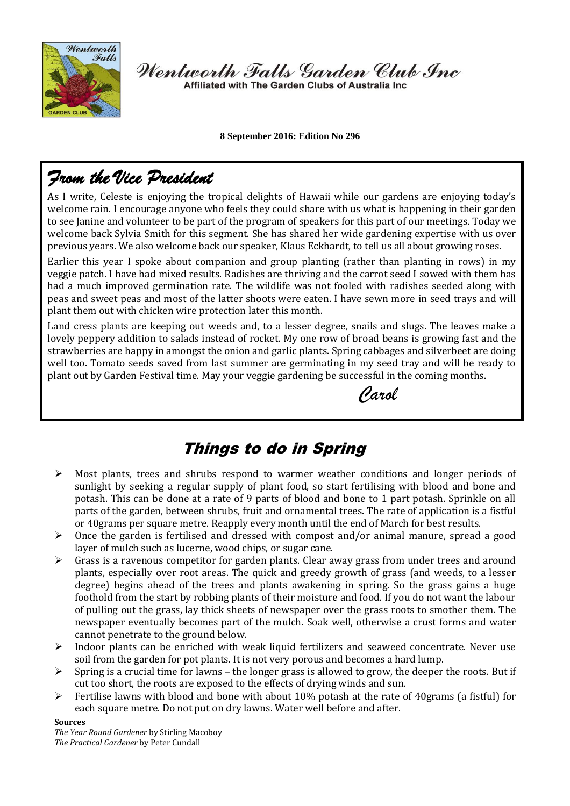

Wentworth Falls Garden Club Inc

Affiliated with The Garden Clubs of Australia Inc

 **8 September 2016: Edition No 296**

# *From the Vice President*

As I write, Celeste is enjoying the tropical delights of Hawaii while our gardens are enjoying today's welcome rain. I encourage anyone who feels they could share with us what is happening in their garden to see Janine and volunteer to be part of the program of speakers for this part of our meetings. Today we welcome back Sylvia Smith for this segment. She has shared her wide gardening expertise with us over previous years. We also welcome back our speaker, Klaus Eckhardt, to tell us all about growing roses.

Earlier this year I spoke about companion and group planting (rather than planting in rows) in my veggie patch. I have had mixed results. Radishes are thriving and the carrot seed I sowed with them has had a much improved germination rate. The wildlife was not fooled with radishes seeded along with peas and sweet peas and most of the latter shoots were eaten. I have sewn more in seed trays and will plant them out with chicken wire protection later this month.

Land cress plants are keeping out weeds and, to a lesser degree, snails and slugs. The leaves make a lovely peppery addition to salads instead of rocket. My one row of broad beans is growing fast and the strawberries are happy in amongst the onion and garlic plants. Spring cabbages and silverbeet are doing well too. Tomato seeds saved from last summer are germinating in my seed tray and will be ready to plant out by Garden Festival time. May your veggie gardening be successful in the coming months.

*Carol*

## Things to do in Spring

- $\triangleright$  Most plants, trees and shrubs respond to warmer weather conditions and longer periods of sunlight by seeking a regular supply of plant food, so start fertilising with blood and bone and potash. This can be done at a rate of 9 parts of blood and bone to 1 part potash. Sprinkle on all parts of the garden, between shrubs, fruit and ornamental trees. The rate of application is a fistful or 40grams per square metre. Reapply every month until the end of March for best results.
- $\triangleright$  Once the garden is fertilised and dressed with compost and/or animal manure, spread a good layer of mulch such as lucerne, wood chips, or sugar cane.
- $\triangleright$  Grass is a ravenous competitor for garden plants. Clear away grass from under trees and around plants, especially over root areas. The quick and greedy growth of grass (and weeds, to a lesser degree) begins ahead of the trees and plants awakening in spring. So the grass gains a huge foothold from the start by robbing plants of their moisture and food. If you do not want the labour of pulling out the grass, lay thick sheets of newspaper over the grass roots to smother them. The newspaper eventually becomes part of the mulch. Soak well, otherwise a crust forms and water cannot penetrate to the ground below.
- $\triangleright$  Indoor plants can be enriched with weak liquid fertilizers and seaweed concentrate. Never use soil from the garden for pot plants. It is not very porous and becomes a hard lump.
- $\triangleright$  Spring is a crucial time for lawns the longer grass is allowed to grow, the deeper the roots. But if cut too short, the roots are exposed to the effects of drying winds and sun.
- $\triangleright$  Fertilise lawns with blood and bone with about 10% potash at the rate of 40 grams (a fistful) for each square metre. Do not put on dry lawns. Water well before and after.

#### **Sources**

*The Year Round Gardener* by Stirling Macoboy *The Practical Gardener* by Peter Cundall